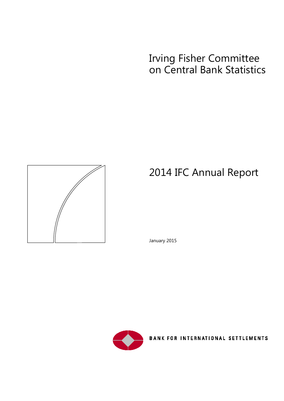# Irving Fisher Committee on Central Bank Statistics



# 2014 IFC Annual Report

January 2015



BANK FOR INTERNATIONAL SETTLEMENTS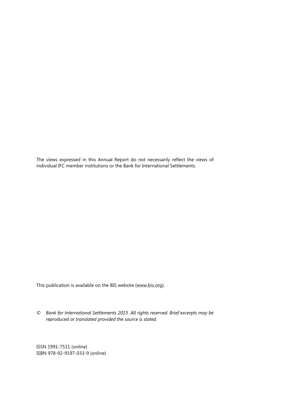The views expressed in this Annual Report do not necessarily reflect the views of individual IFC member institutions or the Bank for International Settlements.

This publication is available on the BIS website [\(www.bis.org\)](http://www.bis.org/).

*© Bank for International Settlements 2015. All rights reserved. Brief excerpts may be reproduced or translated provided the source is stated.*

ISSN 1991-7511 (online) ISBN 978-92-9197-033-9 (online)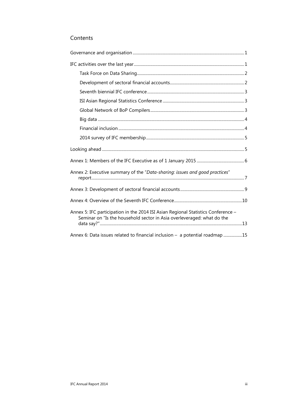### Contents

| Annex 2: Executive summary of the "Data-sharing: issues and good practices"                                                                                 |
|-------------------------------------------------------------------------------------------------------------------------------------------------------------|
|                                                                                                                                                             |
|                                                                                                                                                             |
| Annex 5: IFC participation in the 2014 ISI Asian Regional Statistics Conference -<br>Seminar on "Is the household sector in Asia overleveraged: what do the |
| Annex 6: Data issues related to financial inclusion – a potential roadmap 15                                                                                |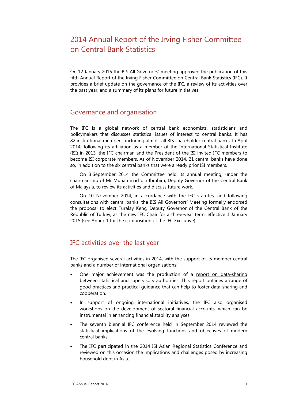# 2014 Annual Report of the Irving Fisher Committee on Central Bank Statistics

On 12 January 2015 the BIS All Governors' meeting approved the publication of this fifth Annual Report of the Irving Fisher Committee on Central Bank Statistics (IFC). It provides a brief update on the governance of the IFC, a review of its activities over the past year, and a summary of its plans for future initiatives.

## <span id="page-4-0"></span>Governance and organisation

The IFC is a global network of central bank economists, statisticians and policymakers that discusses statistical issues of interest to central banks. It has 82 institutional members, including almost all BIS shareholder central banks. In April 2014, following its affiliation as a member of the International Statistical Institute (ISI) in 2013, the IFC chairman and the President of the ISI invited IFC members to become ISI corporate members. As of November 2014, 21 central banks have done so, in addition to the six central banks that were already prior ISI members.

On 3 September 2014 the Committee held its annual meeting, under the chairmanship of Mr Muhammad bin Ibrahim, Deputy Governor of the Central Bank of Malaysia, to review its activities and discuss future work.

On 10 November 2014, in accordance with the IFC statutes, and following consultations with central banks, the BIS All Governors' Meeting formally endorsed the proposal to elect Turalay Kenç, Deputy Governor of the Central Bank of the Republic of Turkey, as the new IFC Chair for a three-year term, effective 1 January 2015 (see Annex 1 for the composition of the IFC Executive).

## <span id="page-4-1"></span>IFC activities over the last year

The IFC organised several activities in 2014, with the support of its member central banks and a number of international organisations:

- One major achievement was the production of a [report on data-sharing](http://www.bis.org/ifc/events/7ifc-tf-report-datasharing.pdf) between statistical and supervisory authorities. This report outlines a range of good practices and practical guidance that can help to foster data-sharing and cooperation.
- In support of ongoing international initiatives, the IFC also organised workshops on the development of sectoral financial accounts, which can be instrumental in enhancing financial stability analyses.
- The seventh biennial IFC conference held in September 2014 reviewed the statistical implications of the evolving functions and objectives of modern central banks.
- The IFC participated in the 2014 ISI Asian Regional Statistics Conference and reviewed on this occasion the implications and challenges posed by increasing household debt in Asia.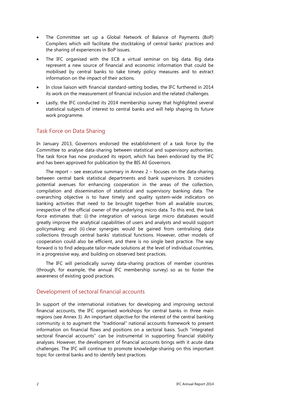- The Committee set up a Global Network of Balance of Payments (BoP) Compilers which will facilitate the stocktaking of central banks' practices and the sharing of experiences in BoP issues.
- The IFC organised with the ECB a virtual seminar on big data. Big data represent a new source of financial and economic information that could be mobilised by central banks to take timely policy measures and to extract information on the impact of their actions.
- In close liaison with financial standard-setting bodies, the IFC furthered in 2014 its work on the measurement of financial inclusion and the related challenges.
- Lastly, the IFC conducted its 2014 membership survey that highlighted several statistical subjects of interest to central banks and will help shaping its future work programme.

### <span id="page-5-0"></span>Task Force on Data Sharing

In January 2013, Governors endorsed the establishment of a task force by the Committee to analyse data-sharing between statistical and supervisory authorities. The task force has now produced its report, which has been endorsed by the IFC and has been approved for publication by the BIS All Governors.

The report – see executive summary in Annex  $2$  – focuses on the data-sharing between central bank statistical departments and bank supervisors. It considers potential avenues for enhancing cooperation in the areas of the collection, compilation and dissemination of statistical and supervisory banking data. The overarching objective is to have timely and quality system-wide indicators on banking activities that need to be brought together from all available sources, irrespective of the official owner of the underlying micro data. To this end, the task force estimates that: (i) the integration of various large micro databases would greatly improve the analytical capabilities of users and analysts and would support policymaking; and (ii) clear synergies would be gained from centralising data collections through central banks' statistical functions. However, other models of cooperation could also be efficient, and there is no single best practice. The way forward is to find adequate tailor-made solutions at the level of individual countries, in a progressive way, and building on observed best practices.

The IFC will periodically survey data-sharing practices of member countries (through, for example, the annual IFC membership survey) so as to foster the awareness of existing good practices.

### <span id="page-5-1"></span>Development of sectoral financial accounts

In support of the international initiatives for developing and improving sectoral financial accounts, the IFC organised workshops for central banks in three main regions (see Annex 3). An important objective for the interest of the central banking community is to augment the "traditional" national accounts framework to present information on financial flows and positions on a sectoral basis. Such "integrated sectoral financial accounts" can be instrumental in supporting financial stability analyses. However, the development of financial accounts brings with it acute data challenges. The IFC will continue to promote knowledge-sharing on this important topic for central banks and to identify best practices.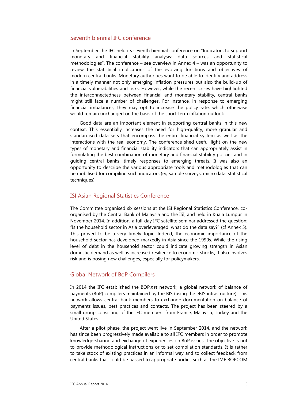### <span id="page-6-0"></span>Seventh biennial IFC conference

In September the IFC held its seventh biennial conference on "Indicators to support monetary and financial stability analysis: data sources and statistical methodologies". The conference – see overview in Annex 4 – was an opportunity to review the statistical implications of the evolving functions and objectives of modern central banks. Monetary authorities want to be able to identify and address in a timely manner not only emerging inflation pressures but also the build-up of financial vulnerabilities and risks. However, while the recent crises have highlighted the interconnectedness between financial and monetary stability, central banks might still face a number of challenges. For instance, in response to emerging financial imbalances, they may opt to increase the policy rate, which otherwise would remain unchanged on the basis of the short-term inflation outlook.

Good data are an important element in supporting central banks in this new context. This essentially increases the need for high-quality, more granular and standardised data sets that encompass the entire financial system as well as the interactions with the real economy. The conference shed useful light on the new types of monetary and financial stability indicators that can appropriately assist in formulating the best combination of monetary and financial stability policies and in guiding central banks' timely responses to emerging threats. It was also an opportunity to describe the various appropriate tools and methodologies that can be mobilised for compiling such indicators (eg sample surveys, micro data, statistical techniques).

#### <span id="page-6-1"></span>ISI Asian Regional Statistics Conference

The Committee organised six sessions at the ISI Regional Statistics Conference, coorganised by the Central Bank of Malaysia and the ISI, and held in Kuala Lumpur in November 2014. In addition, a full-day IFC satellite seminar addressed the question: "Is the household sector in Asia overleveraged: what do the data say?" (cf Annex 5). This proved to be a very timely topic. Indeed, the economic importance of the household sector has developed markedly in Asia since the 1990s. While the rising level of debt in the household sector could indicate growing strength in Asian domestic demand as well as increased resilience to economic shocks, it also involves risk and is posing new challenges, especially for policymakers.

### <span id="page-6-2"></span>Global Network of BoP Compilers

In 2014 the IFC established the BOP.*net* network, a global network of balance of payments (BoP) compilers maintained by the BIS (using the eBIS infrastructure). This network allows central bank members to exchange documentation on balance of payments issues, best practices and contacts. The project has been steered by a small group consisting of the IFC members from France, Malaysia, Turkey and the United States.

After a pilot phase, the project went live in September 2014, and the network has since been progressively made available to all IFC members in order to promote knowledge-sharing and exchange of experiences on BoP issues. The objective is not to provide methodological instructions or to set compilation standards. It is rather to take stock of existing practices in an informal way and to collect feedback from central banks that could be passed to appropriate bodies such as the IMF BOPCOM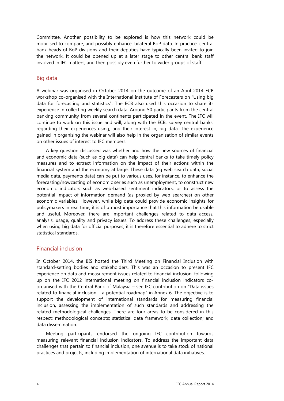Committee. Another possibility to be explored is how this network could be mobilised to compare, and possibly enhance, bilateral BoP data. In practice, central bank heads of BoP divisions and their deputies have typically been invited to join the network. It could be opened up at a later stage to other central bank staff involved in IFC matters, and then possibly even further to wider groups of staff.

### <span id="page-7-0"></span>Big data

A webinar was organised in October 2014 on the outcome of an April 2014 ECB workshop co-organised with the International Institute of Forecasters on "Using big data for forecasting and statistics". The ECB also used this occasion to share its experience in collecting weekly search data. Around 50 participants from the central banking community from several continents participated in the event. The IFC will continue to work on this issue and will, along with the ECB, survey central banks' regarding their experiences using, and their interest in, big data. The experience gained in organising the webinar will also help in the organisation of similar events on other issues of interest to IFC members.

A key question discussed was whether and how the new sources of financial and economic data (such as big data) can help central banks to take timely policy measures and to extract information on the impact of their actions within the financial system and the economy at large. These data (eg web search data, social media data, payments data) can be put to various uses, for instance, to enhance the forecasting/nowcasting of economic series such as unemployment, to construct new economic indicators such as web-based sentiment indicators, or to assess the potential impact of information demand (as proxied by web searches) on other economic variables. However, while big data could provide economic insights for policymakers in real time, it is of utmost importance that this information be usable and useful. Moreover, there are important challenges related to data access, analysis, usage, quality and privacy issues. To address these challenges, especially when using big data for official purposes, it is therefore essential to adhere to strict statistical standards.

### <span id="page-7-1"></span>Financial inclusion

In October 2014, the BIS hosted the Third Meeting on Financial Inclusion with standard-setting bodies and stakeholders. This was an occasion to present IFC experience on data and measurement issues related to financial inclusion, following up on the IFC 2012 international meeting on financial inclusion indicators coorganised with the Central Bank of Malaysia – see IFC contribution on "Data issues related to financial inclusion – a potential roadmap" in Annex 6. The objective is to support the development of international standards for measuring financial inclusion, assessing the implementation of such standards and addressing the related methodological challenges. There are four areas to be considered in this respect: methodological concepts; statistical data framework; data collection; and data dissemination.

Meeting participants endorsed the ongoing IFC contribution towards measuring relevant financial inclusion indicators. To address the important data challenges that pertain to financial inclusion, one avenue is to take stock of national practices and projects, including implementation of international data initiatives.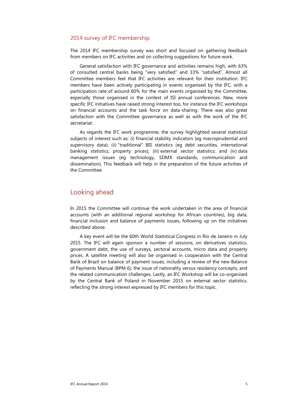#### <span id="page-8-0"></span>2014 survey of IFC membership

The 2014 IFC membership survey was short and focused on gathering feedback from members on IFC activities and on collecting suggestions for future work.

General satisfaction with IFC governance and activities remains high, with 63% of consulted central banks being "very satisfied" and 33% "satisfied". Almost all Committee members feel that IFC activities are relevant for their institution. IFC members have been actively participating in events organised by the IFC, with a participation rate of around 60% for the main events organised by the Committee, especially those organised in the context of ISI annual conferences. New, more specific IFC initiatives have raised strong interest too, for instance the IFC workshops on financial accounts and the task force on data-sharing. There was also great satisfaction with the Committee governance as well as with the work of the IFC secretariat.

As regards the IFC work programme, the survey highlighted several statistical subjects of interest such as: (i) financial stability indicators (eg macroprudential and supervisory data); (ii) "traditional" BIS statistics (eg debt securities, international banking statistics, property prices); (iii) external sector statistics; and (iv) data management issues (eg technology, SDMX standards, communication and dissemination). This feedback will help in the preparation of the future activities of the Committee.

### <span id="page-8-1"></span>Looking ahead

In 2015 the Committee will continue the work undertaken in the area of financial accounts (with an additional regional workshop for African countries), big data, financial inclusion and balance of payments issues, following up on the initiatives described above.

A key event will be the 60th World Statistical Congress in Rio de Janeiro in July 2015. The IFC will again sponsor a number of sessions, on derivatives statistics, government debt, the use of surveys, sectoral accounts, micro data and property prices. A satellite meeting will also be organised in cooperation with the Central Bank of Brazil on balance of payment issues, including a review of the new Balance of Payments Manual (BPM 6), the issue of nationality versus residency concepts, and the related communication challenges. Lastly, an IFC Workshop will be co-organised by the Central Bank of Poland in November 2015 on external sector statistics, reflecting the strong interest expressed by IFC members for this topic.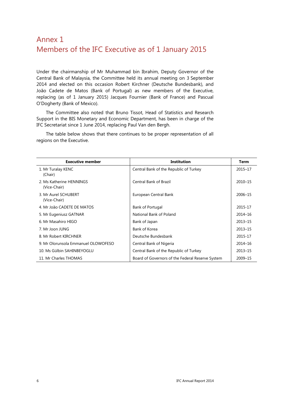# <span id="page-9-0"></span>Annex 1 Members of the IFC Executive as of 1 January 2015

Under the chairmanship of Mr Muhammad bin Ibrahim, Deputy Governor of the Central Bank of Malaysia, the Committee held its annual meeting on 3 September 2014 and elected on this occasion Robert Kirchner (Deutsche Bundesbank), and João Cadete de Matos (Bank of Portugal) as new members of the Executive, replacing (as of 1 January 2015) Jacques Fournier (Bank of France) and Pascual O'Dogherty (Bank of Mexico).

The Committee also noted that Bruno Tissot, Head of Statistics and Research Support in the BIS Monetary and Economic Department, has been in charge of the IFC Secretariat since 1 June 2014, replacing Paul Van den Bergh.

| <b>Executive member</b>                  | <b>Institution</b>                               | <b>Term</b> |
|------------------------------------------|--------------------------------------------------|-------------|
| 1. Mr Turalay KENC<br>(Chair)            | Central Bank of the Republic of Turkey           | 2015-17     |
| 2. Ms Katherine HENNINGS<br>(Vice-Chair) | Central Bank of Brazil                           | 2010-15     |
| 3. Mr Aurel SCHUBERT<br>(Vice-Chair)     | European Central Bank                            | 2006-15     |
| 4. Mr João CADETE DE MATOS               | Bank of Portugal                                 | 2015-17     |
| 5. Mr Eugeniusz GATNAR                   | National Bank of Poland                          | 2014-16     |
| 6. Mr Masahiro HIGO                      | Bank of Japan                                    | $2013 - 15$ |
| 7. Mr Joon JUNG                          | Bank of Korea                                    | $2013 - 15$ |
| 8. Mr Robert KIRCHNER                    | Deutsche Bundesbank                              | 2015-17     |
| 9. Mr Olorunsola Emmanuel OLOWOFESO      | Central Bank of Nigeria                          | 2014-16     |
| 10. Ms Gülbin SAHINBEYOGLU               | Central Bank of the Republic of Turkey           | $2013 - 15$ |
| 11. Mr Charles THOMAS                    | Board of Governors of the Federal Reserve System | 2009-15     |

The table below shows that there continues to be proper representation of all regions on the Executive.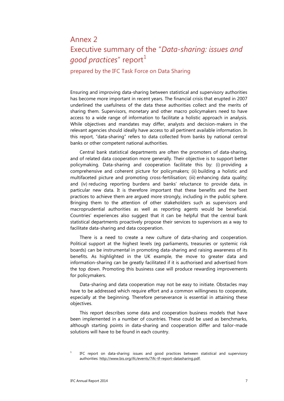# <span id="page-10-0"></span>Annex 2 Executive summary of the "*Data-sharing: issues and good practices*" report<sup>[1](#page-10-1)</sup>

### prepared by the IFC Task Force on Data Sharing

Ensuring and improving data-sharing between statistical and supervisory authorities has become more important in recent years. The financial crisis that erupted in 2007 underlined the usefulness of the data these authorities collect and the merits of sharing them. Supervisors, monetary and other macro policymakers need to have access to a wide range of information to facilitate a holistic approach in analysis. While objectives and mandates may differ, analysts and decision-makers in the relevant agencies should ideally have access to all pertinent available information. In this report, "data-sharing" refers to data collected from banks by national central banks or other competent national authorities.

Central bank statistical departments are often the promoters of data-sharing, and of related data cooperation more generally. Their objective is to support better policymaking. Data-sharing and cooperation facilitate this by: (i) providing a comprehensive and coherent picture for policymakers; (ii) building a holistic and multifaceted picture and promoting cross-fertilisation; (iii) enhancing data quality; and (iv) reducing reporting burdens and banks' reluctance to provide data, in particular new data. It is therefore important that these benefits and the best practices to achieve them are argued more strongly, including in the public sphere. Bringing them to the attention of other stakeholders such as supervisors and macroprudential authorities as well as reporting agents would be beneficial. Countries' experiences also suggest that it can be helpful that the central bank statistical departments proactively propose their services to supervisors as a way to facilitate data-sharing and data cooperation.

There is a need to create a new culture of data-sharing and cooperation. Political support at the highest levels (eg parliaments, treasuries or systemic risk boards) can be instrumental in promoting data-sharing and raising awareness of its benefits. As highlighted in the UK example, the move to greater data and information-sharing can be greatly facilitated if it is authorised and advertised from the top down. Promoting this business case will produce rewarding improvements for policymakers.

Data-sharing and data cooperation may not be easy to initiate. Obstacles may have to be addressed which require effort and a common willingness to cooperate, especially at the beginning. Therefore perseverance is essential in attaining these objectives.

This report describes some data and cooperation business models that have been implemented in a number of countries. These could be used as benchmarks, although starting points in data-sharing and cooperation differ and tailor-made solutions will have to be found in each country.

<span id="page-10-1"></span><sup>&</sup>lt;sup>1</sup> IFC report on data-sharing: issues and good practices between statistical and supervisory [authorities: http://www.bis.org/ifc/events/7ifc-tf-report-datasharing.pdf.](http://www.bis.org/ifc/events/7ifc-tf-report-datasharing.pdf)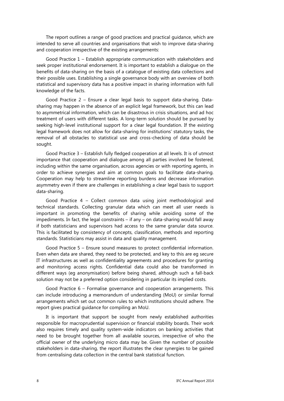The report outlines a range of good practices and practical guidance, which are intended to serve all countries and organisations that wish to improve data-sharing and cooperation irrespective of the existing arrangements:

Good Practice 1 – Establish appropriate communication with stakeholders and seek proper institutional endorsement. It is important to establish a dialogue on the benefits of data-sharing on the basis of a catalogue of existing data collections and their possible uses. Establishing a single governance body with an overview of both statistical and supervisory data has a positive impact in sharing information with full knowledge of the facts.

Good Practice 2 – Ensure a clear legal basis to support data-sharing. Datasharing may happen in the absence of an explicit legal framework, but this can lead to asymmetrical information, which can be disastrous in crisis situations, and ad hoc treatment of users with different tasks. A long-term solution should be pursued by seeking high-level institutional support for a clear legal foundation. If the existing legal framework does not allow for data-sharing for institutions' statutory tasks, the removal of all obstacles to statistical use and cross-checking of data should be sought.

Good Practice 3 – Establish fully fledged cooperation at all levels. It is of utmost importance that cooperation and dialogue among all parties involved be fostered, including within the same organisation, across agencies or with reporting agents, in order to achieve synergies and aim at common goals to facilitate data-sharing. Cooperation may help to streamline reporting burdens and decrease information asymmetry even if there are challenges in establishing a clear legal basis to support data-sharing.

Good Practice 4 – Collect common data using joint methodological and technical standards. Collecting granular data which can meet all user needs is important in promoting the benefits of sharing while avoiding some of the impediments. In fact, the legal constraints – if any – on data-sharing would fall away if both statisticians and supervisors had access to the same granular data source. This is facilitated by consistency of concepts, classification, methods and reporting standards. Statisticians may assist in data and quality management.

Good Practice 5 – Ensure sound measures to protect confidential information. Even when data are shared, they need to be protected, and key to this are eg secure IT infrastructures as well as confidentiality agreements and procedures for granting and monitoring access rights. Confidential data could also be transformed in different ways (eg anonymisation) before being shared, although such a fall-back solution may not be a preferred option considering in particular its implied costs.

Good Practice 6 – Formalise governance and cooperation arrangements. This can include introducing a memorandum of understanding (MoU) or similar formal arrangements which set out common rules to which institutions should adhere. The report gives practical guidance for compiling an MoU.

It is important that support be sought from newly established authorities responsible for macroprudential supervision or financial stability boards. Their work also requires timely and quality system-wide indicators on banking activities that need to be brought together from all available sources, irrespective of who the official owner of the underlying micro data may be. Given the number of possible stakeholders in data-sharing, the report illustrates the clear synergies to be gained from centralising data collection in the central bank statistical function.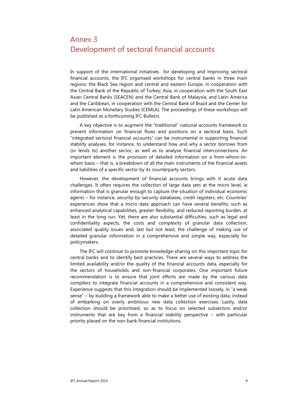# <span id="page-12-0"></span>Annex 3 Development of sectoral financial accounts

In support of the international initiatives for developing and improving sectoral financial accounts, the IFC organised workshops for central banks in three main regions: the Black Sea region and central and eastern Europe, in cooperation with the Central Bank of the Republic of Turkey; Asia, in cooperation with the South East Asian Central Banks (SEACEN) and the Central Bank of Malaysia; and Latin America and the Caribbean, in cooperation with the Central Bank of Brazil and the Center for Latin American Monetary Studies (CEMLA). The proceedings of these workshops will be published as a forthcoming IFC Bulletin.

A key objective is to augment the "traditional" national accounts framework to present information on financial flows and positions on a sectoral basis. Such "integrated sectoral financial accounts" can be instrumental in supporting financial stability analyses, for instance, to understand how and why a sector borrows from (or lends to) another sector, as well as to analyse financial interconnections. An important element is the provision of detailed information on a from-whom-towhom basis – that is, a breakdown of all the main instruments of the financial assets and liabilities of a specific sector by its counterparty sectors.

However, the development of financial accounts brings with it acute data challenges. It often requires the collection of large data sets at the micro level, ie information that is granular enough to capture the situation of individual economic agents – for instance, security-by-security databases, credit registers, etc. Countries' experiences show that a micro data approach can have several benefits, such as enhanced analytical capabilities, greater flexibility, and reduced reporting burden, at least in the long run. Yet, there are also substantial difficulties, such as legal and confidentiality aspects, the costs and complexity of granular data collection, associated quality issues and, last but not least, the challenge of making use of detailed granular information in a comprehensive and simple way, especially for policymakers.

The IFC will continue to promote knowledge-sharing on this important topic for central banks and to identify best practices. There are several ways to address the limited availability and/or the quality of the financial accounts data, especially for the sectors of households and non-financial corporates. One important future recommendation is to ensure that joint efforts are made by the various data compilers to integrate financial accounts in a comprehensive and consistent way. Experience suggests that this integration should be implemented loosely, in "a weak sense" – by building a framework able to make a better use of existing data, instead of embarking on overly ambitious new data collection exercises. Lastly, data collection should be prioritised, so as to focus on selected subsectors and/or instruments that are key from a financial stability perspective – with particular priority placed on the non-bank financial institutions.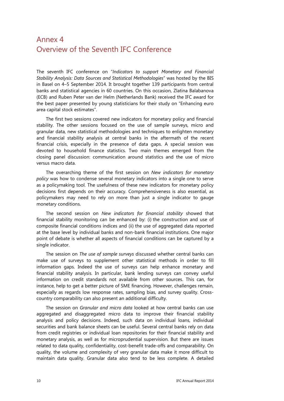# <span id="page-13-0"></span>Annex 4 Overview of the Seventh IFC Conference

The seventh IFC conference on "*Indicators to support Monetary and Financial Stability Analysis: Data Sources and Statistical Methodologies*" was hosted by the BIS in Basel on 4–5 September 2014. It brought together 139 participants from central banks and statistical agencies in 60 countries. On this occasion, Zlatina Balabanova (ECB) and Ruben Peter van der Helm (Netherlands Bank) received the IFC award for the best paper presented by young statisticians for their study on "Enhancing euro area capital stock estimates".

The first two sessions covered new indicators for monetary policy and financial stability. The other sessions focused on the use of sample surveys, micro and granular data, new statistical methodologies and techniques to enlighten monetary and financial stability analysis at central banks in the aftermath of the recent financial crisis, especially in the presence of data gaps. A special session was devoted to household finance statistics. Two main themes emerged from the closing panel discussion: communication around statistics and the use of micro versus macro data.

The overarching theme of the first session on *New indicators for monetary policy* was how to condense several monetary indicators into a single one to serve as a policymaking tool. The usefulness of these new indicators for monetary policy decisions first depends on their accuracy. Comprehensiveness is also essential, as policymakers may need to rely on more than just a single indicator to gauge monetary conditions.

The second session on *New indicators for financial stability* showed that financial stability monitoring can be enhanced by: (i) the construction and use of composite financial conditions indices and (ii) the use of aggregated data reported at the base level by individual banks and non-bank financial institutions. One major point of debate is whether all aspects of financial conditions can be captured by a single indicator.

The session on *The use of sample surveys* discussed whether central banks can make use of surveys to supplement other statistical methods in order to fill information gaps. Indeed the use of surveys can help enhance monetary and financial stability analysis. In particular, bank lending surveys can convey useful information on credit standards not available from other sources. This can, for instance, help to get a better picture of SME financing. However, challenges remain, especially as regards low response rates, sampling bias, and survey quality. Crosscountry comparability can also present an additional difficulty.

The session on *Granular and micro data* looked at how central banks can use aggregated and disaggregated micro data to improve their financial stability analysis and policy decisions. Indeed, such data on individual loans, individual securities and bank balance sheets can be useful. Several central banks rely on data from credit registries or individual loan repositories for their financial stability and monetary analysis, as well as for microprudential supervision. But there are issues related to data quality, confidentiality, cost-benefit trade-offs and comparability. On quality, the volume and complexity of very granular data make it more difficult to maintain data quality. Granular data also tend to be less complete. A detailed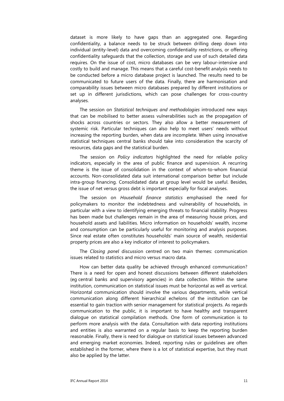dataset is more likely to have gaps than an aggregated one. Regarding confidentiality, a balance needs to be struck between drilling deep down into individual (entity-level) data and overcoming confidentiality restrictions, or offering confidentiality safeguards that the collection, storage and use of such detailed data requires. On the issue of cost, micro databases can be very labour-intensive and costly to build and manage. This means that a careful cost-benefit analysis needs to be conducted before a micro database project is launched. The results need to be communicated to future users of the data. Finally, there are harmonisation and comparability issues between micro databases prepared by different institutions or set up in different jurisdictions, which can pose challenges for cross-country analyses.

The session on *Statistical techniques and methodologies* introduced new ways that can be mobilised to better assess vulnerabilities such as the propagation of shocks across countries or sectors. They also allow a better measurement of systemic risk. Particular techniques can also help to meet users' needs without increasing the reporting burden, when data are incomplete. When using innovative statistical techniques central banks should take into consideration the scarcity of resources, data gaps and the statistical burden.

The session on *Policy indicators* highlighted the need for reliable policy indicators, especially in the area of public finance and supervision. A recurring theme is the issue of consolidation in the context of whom-to-whom financial accounts. Non-consolidated data suit international comparison better but include intra-group financing. Consolidated data at group level would be useful. Besides, the issue of net versus gross debt is important especially for fiscal analyses.

The session on *Household finance statistics* emphasised the need for policymakers to monitor the indebtedness and vulnerability of households, in particular with a view to identifying emerging threats to financial stability. Progress has been made but challenges remain in the area of measuring house prices, and household assets and liabilities. Micro information on households' wealth, income and consumption can be particularly useful for monitoring and analysis purposes. Since real estate often constitutes households' main source of wealth, residential property prices are also a key indicator of interest to policymakers.

The *Closing panel* discussion centred on two main themes: communication issues related to statistics and micro versus macro data.

How can better data quality be achieved through enhanced communication? There is a need for open and honest discussions between different stakeholders (eg central banks and supervisory agencies) in data collection. Within the same institution, communication on statistical issues must be horizontal as well as vertical. Horizontal communication should involve the various departments, while vertical communication along different hierarchical echelons of the institution can be essential to gain traction with senior management for statistical projects. As regards communication to the public, it is important to have healthy and transparent dialogue on statistical compilation methods. One form of communication is to perform more analysis with the data. Consultation with data reporting institutions and entities is also warranted on a regular basis to keep the reporting burden reasonable. Finally, there is need for dialogue on statistical issues between advanced and emerging market economies. Indeed, reporting rules or guidelines are often established in the former, where there is a lot of statistical expertise, but they must also be applied by the latter.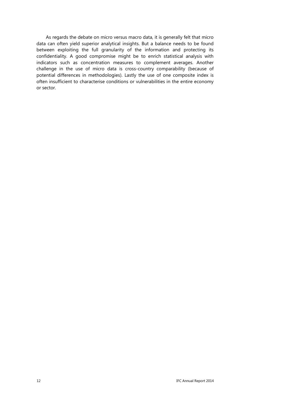As regards the debate on micro versus macro data, it is generally felt that micro data can often yield superior analytical insights. But a balance needs to be found between exploiting the full granularity of the information and protecting its confidentiality. A good compromise might be to enrich statistical analysis with indicators such as concentration measures to complement averages. Another challenge in the use of micro data is cross-country comparability (because of potential differences in methodologies). Lastly the use of one composite index is often insufficient to characterise conditions or vulnerabilities in the entire economy or sector.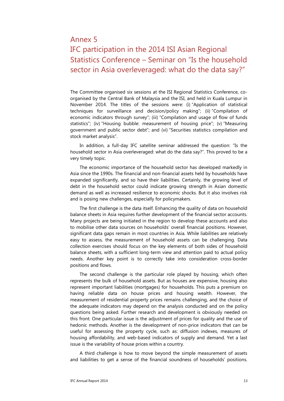# Annex 5

# <span id="page-16-0"></span>IFC participation in the 2014 ISI Asian Regional Statistics Conference – Seminar on "Is the household sector in Asia overleveraged: what do the data say?"

The Committee organised six sessions at the ISI Regional Statistics Conference, coorganised by the Central Bank of Malaysia and the ISI, and held in Kuala Lumpur in November 2014. The titles of the sessions were: (i) "Application of statistical techniques for surveillance and decision/policy making"; (ii) "Compilation of economic indicators through survey"; (iii) "Compilation and usage of flow of funds statistics"; (iv) "Housing bubble: measurement of housing price"; (v) "Measuring government and public sector debt"; and (vi) "Securities statistics compilation and stock market analysis".

In addition, a full-day IFC satellite seminar addressed the question: "Is the household sector in Asia overleveraged: what do the data say?". This proved to be a very timely topic.

The economic importance of the household sector has developed markedly in Asia since the 1990s. The financial and non-financial assets held by households have expanded significantly, and so have their liabilities. Certainly, the growing level of debt in the household sector could indicate growing strength in Asian domestic demand as well as increased resilience to economic shocks. But it also involves risk and is posing new challenges, especially for policymakers.

The first challenge is the data itself. Enhancing the quality of data on household balance sheets in Asia requires further development of the financial sector accounts. Many projects are being initiated in the region to develop these accounts and also to mobilise other data sources on households' overall financial positions. However, significant data gaps remain in most countries in Asia. While liabilities are relatively easy to assess, the measurement of household assets can be challenging. Data collection exercises should focus on the key elements of both sides of household balance sheets, with a sufficient long-term view and attention paid to actual policy needs. Another key point is to correctly take into consideration cross-border positions and flows.

The second challenge is the particular role played by housing, which often represents the bulk of household assets. But as houses are expensive, housing also represent important liabilities (mortgages) for households. This puts a premium on having reliable data on house prices and housing wealth. However, the measurement of residential property prices remains challenging, and the choice of the adequate indicators may depend on the analysis conducted and on the policy questions being asked. Further research and development is obviously needed on this front. One particular issue is the adjustment of prices for quality and the use of hedonic methods. Another is the development of non-price indicators that can be useful for assessing the property cycle, such as: diffusion indexes, measures of housing affordability, and web-based indicators of supply and demand. Yet a last issue is the variability of house prices within a country.

A third challenge is how to move beyond the simple measurement of assets and liabilities to get a sense of the financial soundness of households' positions.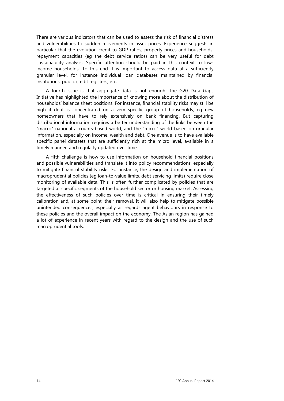There are various indicators that can be used to assess the risk of financial distress and vulnerabilities to sudden movements in asset prices. Experience suggests in particular that the evolution credit-to-GDP ratios, property prices and households' repayment capacities (eg the debt service ratios) can be very useful for debt sustainability analysis. Specific attention should be paid in this context to lowincome households. To this end it is important to access data at a sufficiently granular level, for instance individual loan databases maintained by financial institutions, public credit registers, etc.

A fourth issue is that aggregate data is not enough. The G20 Data Gaps Initiative has highlighted the importance of knowing more about the distribution of households' balance sheet positions. For instance, financial stability risks may still be high if debt is concentrated on a very specific group of households, eg new homeowners that have to rely extensively on bank financing. But capturing distributional information requires a better understanding of the links between the "macro" national accounts-based world, and the "micro" world based on granular information, especially on income, wealth and debt. One avenue is to have available specific panel datasets that are sufficiently rich at the micro level, available in a timely manner, and regularly updated over time.

A fifth challenge is how to use information on household financial positions and possible vulnerabilities and translate it into policy recommendations, especially to mitigate financial stability risks. For instance, the design and implementation of macroprudential policies (eg loan-to-value limits, debt servicing limits) require close monitoring of available data. This is often further complicated by policies that are targeted at specific segments of the household sector or housing market. Assessing the effectiveness of such policies over time is critical in ensuring their timely calibration and, at some point, their removal. It will also help to mitigate possible unintended consequences, especially as regards agent behaviours in response to these policies and the overall impact on the economy. The Asian region has gained a lot of experience in recent years with regard to the design and the use of such macroprudential tools.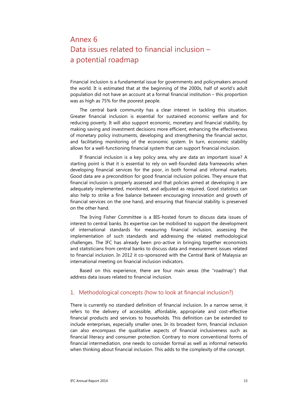# <span id="page-18-0"></span>Annex 6 Data issues related to financial inclusion – a potential roadmap

Financial inclusion is a fundamental issue for governments and policymakers around the world. It is estimated that at the beginning of the 2000s, half of world's adult population did not have an account at a formal financial institution – this proportion was as high as 75% for the poorest people.

The central bank community has a clear interest in tackling this situation. Greater financial inclusion is essential for sustained economic welfare and for reducing poverty. It will also support economic, monetary and financial stability, by making saving and investment decisions more efficient, enhancing the effectiveness of monetary policy instruments, developing and strengthening the financial sector, and facilitating monitoring of the economic system. In turn, economic stability allows for a well-functioning financial system that can support financial inclusion.

If financial inclusion is a key policy area, why are data an important issue? A starting point is that it is essential to rely on well-founded data frameworks when developing financial services for the poor, in both formal and informal markets. Good data are a precondition for good financial inclusion policies. They ensure that financial inclusion is properly assessed and that policies aimed at developing it are adequately implemented, monitored, and adjusted as required. Good statistics can also help to strike a fine balance between encouraging innovation and growth of financial services on the one hand, and ensuring that financial stability is preserved on the other hand.

The Irving Fisher Committee is a BIS-hosted forum to discuss data issues of interest to central banks. Its expertise can be mobilised to support the development of international standards for measuring financial inclusion, assessing the implementation of such standards and addressing the related methodological challenges. The IFC has already been pro-active in bringing together economists and statisticians from central banks to discuss data and measurement issues related to financial inclusion. In 2012 it co-sponsored with the Central Bank of Malaysia an international meeting on financial inclusion indicators.

Based on this experience, there are four main areas (the "roadmap") that address data issues related to financial inclusion.

### 1. Methodological concepts (how to look at financial inclusion?)

There is currently no standard definition of financial inclusion. In a narrow sense, it refers to the delivery of accessible, affordable, appropriate and cost-effective financial products and services to households. This definition can be extended to include enterprises, especially smaller ones. In its broadest form, financial inclusion can also encompass the qualitative aspects of financial inclusiveness such as financial literacy and consumer protection. Contrary to more conventional forms of financial intermediation, one needs to consider formal as well as informal networks when thinking about financial inclusion. This adds to the complexity of the concept.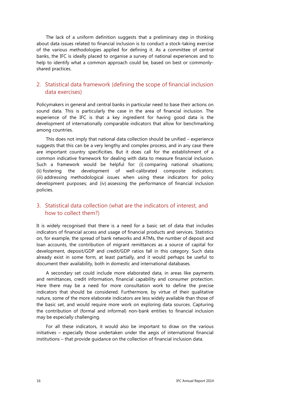The lack of a uniform definition suggests that a preliminary step in thinking about data issues related to financial inclusion is to conduct a stock-taking exercise of the various methodologies applied for defining it. As a committee of central banks, the IFC is ideally placed to organise a survey of national experiences and to help to identify what a common approach could be, based on best or commonlyshared practices.

### 2. Statistical data framework (defining the scope of financial inclusion data exercises)

Policymakers in general and central banks in particular need to base their actions on sound data. This is particularly the case in the area of financial inclusion. The experience of the IFC is that a key ingredient for having good data is the development of internationally comparable indicators that allow for benchmarking among countries.

This does not imply that national data collection should be unified – experience suggests that this can be a very lengthy and complex process, and in any case there are important country specificities. But it does call for the establishment of a common indicative framework for dealing with data to measure financial inclusion. Such a framework would be helpful for: (i) comparing national situations; (ii) fostering the development of well-calibrated composite indicators; (iii) addressing methodological issues when using these indicators for policy development purposes; and (iv) assessing the performance of financial inclusion policies.

### 3. Statistical data collection (what are the indicators of interest, and how to collect them?)

It is widely recognised that there is a need for a basic set of data that includes indicators of financial access and usage of financial products and services. Statistics on, for example, the spread of bank networks and ATMs, the number of deposit and loan accounts, the contribution of migrant remittances as a source of capital for development, deposit/GDP and credit/GDP ratios fall in this category. Such data already exist in some form, at least partially, and it would perhaps be useful to document their availability, both in domestic and international databases.

A secondary set could include more elaborated data, in areas like payments and remittances, credit information, financial capability and consumer protection. Here there may be a need for more consultation work to define the precise indicators that should be considered. Furthermore, by virtue of their qualitative nature, some of the more elaborate indicators are less widely available than those of the basic set, and would require more work on exploring data sources. Capturing the contribution of (formal and informal) non-bank entities to financial inclusion may be especially challenging.

For all these indicators, it would also be important to draw on the various initiatives – especially those undertaken under the aegis of international financial institutions – that provide guidance on the collection of financial inclusion data.